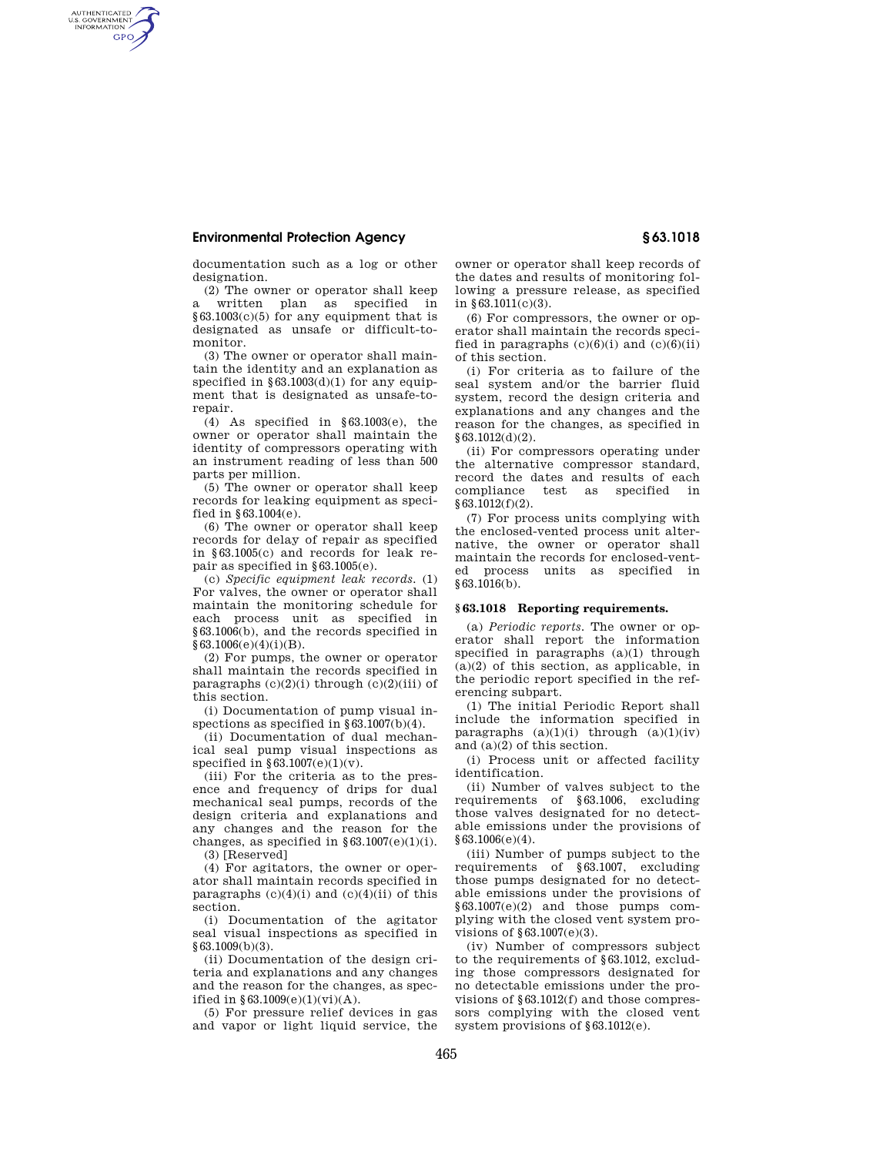## **Environmental Protection Agency § 63.1018**

AUTHENTICATED<br>U.S. GOVERNMENT<br>INFORMATION **GPO** 

> documentation such as a log or other designation.

(2) The owner or operator shall keep a written plan as specified in §63.1003(c)(5) for any equipment that is designated as unsafe or difficult-tomonitor.

(3) The owner or operator shall maintain the identity and an explanation as specified in  $$63.1003(d)(1)$  for any equipment that is designated as unsafe-torepair.

(4) As specified in  $\S 63.1003(e)$ , the owner or operator shall maintain the identity of compressors operating with an instrument reading of less than 500 parts per million.

(5) The owner or operator shall keep records for leaking equipment as specified in §63.1004(e).

(6) The owner or operator shall keep records for delay of repair as specified in §63.1005(c) and records for leak repair as specified in §63.1005(e).

(c) *Specific equipment leak records.* (1) For valves, the owner or operator shall maintain the monitoring schedule for each process unit as specified in §63.1006(b), and the records specified in  $$63.1006(e)(4)(i)(B).$ 

(2) For pumps, the owner or operator shall maintain the records specified in paragraphs  $(c)(2)(i)$  through  $(c)(2)(iii)$  of this section.

(i) Documentation of pump visual inspections as specified in §63.1007(b)(4).

(ii) Documentation of dual mechanical seal pump visual inspections as specified in  $§63.1007(e)(1)(v)$ .

(iii) For the criteria as to the presence and frequency of drips for dual mechanical seal pumps, records of the design criteria and explanations and any changes and the reason for the changes, as specified in  $§ 63.1007(e)(1)(i)$ .

(3) [Reserved]

(4) For agitators, the owner or operator shall maintain records specified in paragraphs  $(c)(4)(i)$  and  $(c)(4)(ii)$  of this section.

(i) Documentation of the agitator seal visual inspections as specified in §63.1009(b)(3).

(ii) Documentation of the design criteria and explanations and any changes and the reason for the changes, as specified in  $§63.1009(e)(1)(vi)(A)$ .

(5) For pressure relief devices in gas and vapor or light liquid service, the owner or operator shall keep records of the dates and results of monitoring following a pressure release, as specified in  $$63.1011(c)(3)$ .

(6) For compressors, the owner or operator shall maintain the records specified in paragraphs  $(c)(6)(i)$  and  $(c)(6)(ii)$ of this section.

(i) For criteria as to failure of the seal system and/or the barrier fluid system, record the design criteria and explanations and any changes and the reason for the changes, as specified in §63.1012(d)(2).

(ii) For compressors operating under the alternative compressor standard, record the dates and results of each compliance test as specified in §63.1012(f)(2).

(7) For process units complying with the enclosed-vented process unit alternative, the owner or operator shall maintain the records for enclosed-vented process units as specified in §63.1016(b).

## **§ 63.1018 Reporting requirements.**

(a) *Periodic reports.* The owner or operator shall report the information specified in paragraphs (a)(1) through (a)(2) of this section, as applicable, in the periodic report specified in the referencing subpart.

(1) The initial Periodic Report shall include the information specified in paragraphs  $(a)(1)(i)$  through  $(a)(1)(iv)$ and (a)(2) of this section.

(i) Process unit or affected facility identification.

(ii) Number of valves subject to the requirements of §63.1006, excluding those valves designated for no detectable emissions under the provisions of §63.1006(e)(4).

(iii) Number of pumps subject to the requirements of §63.1007, excluding those pumps designated for no detectable emissions under the provisions of §63.1007(e)(2) and those pumps complying with the closed vent system provisions of §63.1007(e)(3).

(iv) Number of compressors subject to the requirements of §63.1012, excluding those compressors designated for no detectable emissions under the provisions of §63.1012(f) and those compressors complying with the closed vent system provisions of §63.1012(e).